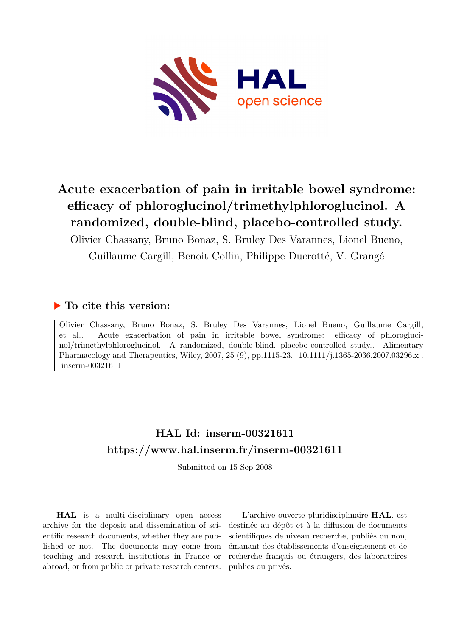

# **Acute exacerbation of pain in irritable bowel syndrome: efficacy of phloroglucinol/trimethylphloroglucinol. A randomized, double-blind, placebo-controlled study.**

Olivier Chassany, Bruno Bonaz, S. Bruley Des Varannes, Lionel Bueno,

Guillaume Cargill, Benoit Coffin, Philippe Ducrotté, V. Grangé

## **To cite this version:**

Olivier Chassany, Bruno Bonaz, S. Bruley Des Varannes, Lionel Bueno, Guillaume Cargill, et al.. Acute exacerbation of pain in irritable bowel syndrome: efficacy of phloroglucinol/trimethylphloroglucinol. A randomized, double-blind, placebo-controlled study.. Alimentary Pharmacology and Therapeutics, Wiley, 2007, 25 (9), pp.1115-23. 10.1111/j.1365-2036.2007.03296.x.  $inserm-00321611$ 

## **HAL Id: inserm-00321611 <https://www.hal.inserm.fr/inserm-00321611>**

Submitted on 15 Sep 2008

**HAL** is a multi-disciplinary open access archive for the deposit and dissemination of scientific research documents, whether they are published or not. The documents may come from teaching and research institutions in France or abroad, or from public or private research centers.

L'archive ouverte pluridisciplinaire **HAL**, est destinée au dépôt et à la diffusion de documents scientifiques de niveau recherche, publiés ou non, émanant des établissements d'enseignement et de recherche français ou étrangers, des laboratoires publics ou privés.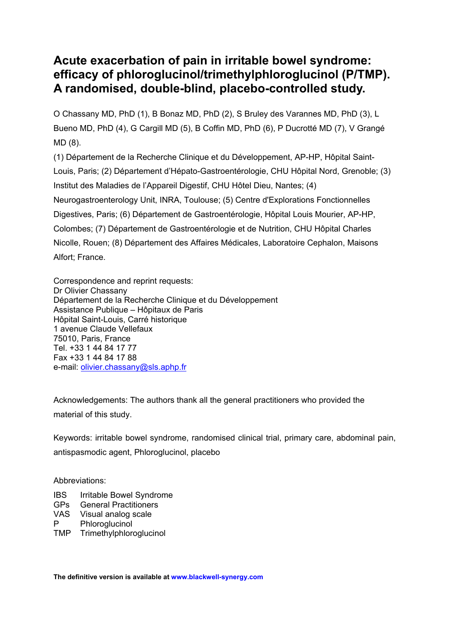## **Acute exacerbation of pain in irritable bowel syndrome: efficacy of phloroglucinol/trimethylphloroglucinol (P/TMP). A randomised, double-blind, placebo-controlled study.**

O Chassany MD, PhD (1), B Bonaz MD, PhD (2), S Bruley des Varannes MD, PhD (3), L Bueno MD, PhD (4), G Cargill MD (5), B Coffin MD, PhD (6), P Ducrotté MD (7), V Grangé MD (8).

(1) Département de la Recherche Clinique et du Développement, AP-HP, Hôpital Saint-Louis, Paris; (2) Département d'Hépato-Gastroentérologie, CHU Hôpital Nord, Grenoble; (3) Institut des Maladies de l'Appareil Digestif, CHU Hôtel Dieu, Nantes; (4) Neurogastroenterology Unit, INRA, Toulouse; (5) Centre d'Explorations Fonctionnelles Digestives, Paris; (6) Département de Gastroentérologie, Hôpital Louis Mourier, AP-HP, Colombes; (7) Département de Gastroentérologie et de Nutrition, CHU Hôpital Charles Nicolle, Rouen; (8) Département des Affaires Médicales, Laboratoire Cephalon, Maisons Alfort; France.

Correspondence and reprint requests: Dr Olivier Chassany Département de la Recherche Clinique et du Développement Assistance Publique – Hôpitaux de Paris Hôpital Saint-Louis, Carré historique 1 avenue Claude Vellefaux 75010, Paris, France Tel. +33 1 44 84 17 77 Fax +33 1 44 84 17 88 e-mail: [olivier.chassany@sls.aphp.fr](mailto:olivier.chassany@sls.aphp.fr)

Acknowledgements: The authors thank all the general practitioners who provided the material of this study.

Keywords: irritable bowel syndrome, randomised clinical trial, primary care, abdominal pain, antispasmodic agent, Phloroglucinol, placebo

Abbreviations:

- IBS Irritable Bowel Syndrome
- GPs General Practitioners
- VAS Visual analog scale
- P Phloroglucinol
- TMP Trimethylphloroglucinol

**The definitive version is available at www.blackwell-synergy.com**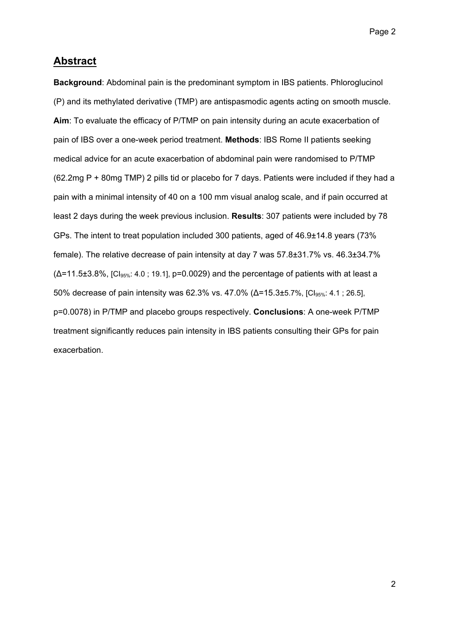## **Abstract**

**Background**: Abdominal pain is the predominant symptom in IBS patients. Phloroglucinol (P) and its methylated derivative (TMP) are antispasmodic agents acting on smooth muscle. **Aim**: To evaluate the efficacy of P/TMP on pain intensity during an acute exacerbation of pain of IBS over a one-week period treatment. **Methods**: IBS Rome II patients seeking medical advice for an acute exacerbation of abdominal pain were randomised to P/TMP (62.2mg P + 80mg TMP) 2 pills tid or placebo for 7 days. Patients were included if they had a pain with a minimal intensity of 40 on a 100 mm visual analog scale, and if pain occurred at least 2 days during the week previous inclusion. **Results**: 307 patients were included by 78 GPs. The intent to treat population included 300 patients, aged of 46.9±14.8 years (73% female). The relative decrease of pain intensity at day 7 was 57.8±31.7% vs. 46.3±34.7%  $(\Delta$ =11.5±3.8%, [CI<sub>95%</sub>: 4.0; 19.1], p=0.0029) and the percentage of patients with at least a 50% decrease of pain intensity was 62.3% vs. 47.0% (Δ=15.3±5.7%, [CI<sub>95%</sub>: 4.1; 26.5], p=0.0078) in P/TMP and placebo groups respectively. **Conclusions**: A one-week P/TMP treatment significantly reduces pain intensity in IBS patients consulting their GPs for pain exacerbation.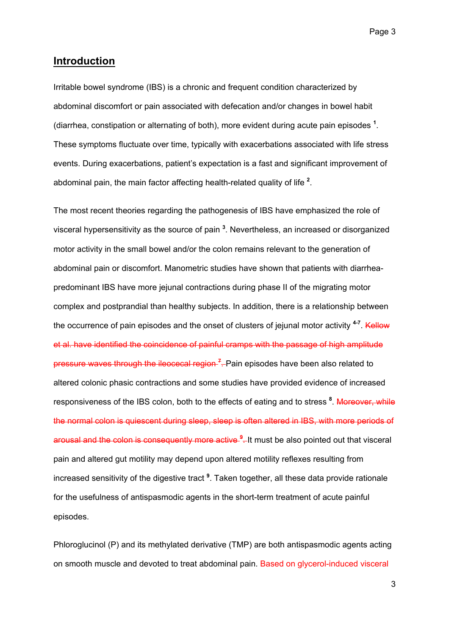## **Introduction**

Irritable bowel syndrome (IBS) is a chronic and frequent condition characterized by abdominal discomfort or pain associated with defecation and/or changes in bowel habit (diarrhea, constipation or alternating of both), more evident during acute pain episodes **<sup>1</sup>** . These symptoms fluctuate over time, typically with exacerbations associated with life stress events. During exacerbations, patient's expectation is a fast and significant improvement of abdominal pain, the main factor affecting health-related quality of life **<sup>2</sup>** .

The most recent theories regarding the pathogenesis of IBS have emphasized the role of visceral hypersensitivity as the source of pain **<sup>3</sup>** . Nevertheless, an increased or disorganized motor activity in the small bowel and/or the colon remains relevant to the generation of abdominal pain or discomfort. Manometric studies have shown that patients with diarrheapredominant IBS have more jejunal contractions during phase II of the migrating motor complex and postprandial than healthy subjects. In addition, there is a relationship between the occurrence of pain episodes and the onset of clusters of jejunal motor activity <sup>4-7</sup>. Kellow et al. have identified the coincidence of painful cramps with the passage of high amplitude pressure waves through the ileocecal region **<sup>7</sup>** . Pain episodes have been also related to altered colonic phasic contractions and some studies have provided evidence of increased responsiveness of the IBS colon, both to the effects of eating and to stress <sup>8</sup>. Moreover, while the normal colon is quiescent during sleep, sleep is often altered in IBS, with more periods of arousal and the colon is consequently more active **<sup>9</sup>** . It must be also pointed out that visceral pain and altered gut motility may depend upon altered motility reflexes resulting from increased sensitivity of the digestive tract **<sup>9</sup>** . Taken together, all these data provide rationale for the usefulness of antispasmodic agents in the short-term treatment of acute painful episodes.

Phloroglucinol (P) and its methylated derivative (TMP) are both antispasmodic agents acting on smooth muscle and devoted to treat abdominal pain. Based on glycerol-induced visceral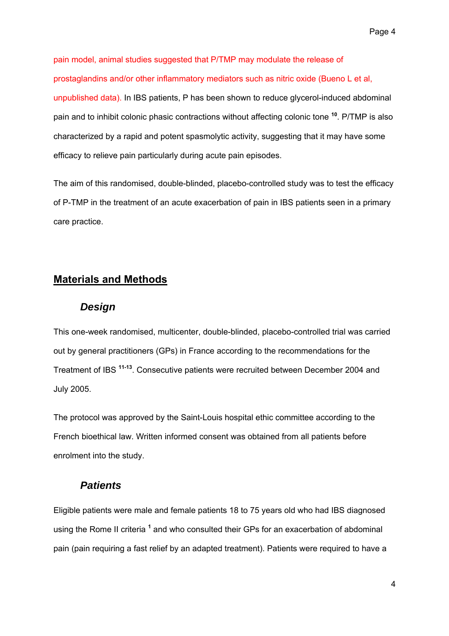pain model, animal studies suggested that P/TMP may modulate the release of prostaglandins and/or other inflammatory mediators such as nitric oxide (Bueno L et al, unpublished data). In IBS patients, P has been shown to reduce glycerol-induced abdominal pain and to inhibit colonic phasic contractions without affecting colonic tone **<sup>10</sup>**. P/TMP is also characterized by a rapid and potent spasmolytic activity, suggesting that it may have some efficacy to relieve pain particularly during acute pain episodes.

The aim of this randomised, double-blinded, placebo-controlled study was to test the efficacy of P-TMP in the treatment of an acute exacerbation of pain in IBS patients seen in a primary care practice.

## **Materials and Methods**

#### *Design*

This one-week randomised, multicenter, double-blinded, placebo-controlled trial was carried out by general practitioners (GPs) in France according to the recommendations for the Treatment of IBS **11-13**. Consecutive patients were recruited between December 2004 and July 2005.

The protocol was approved by the Saint-Louis hospital ethic committee according to the French bioethical law. Written informed consent was obtained from all patients before enrolment into the study.

## *Patients*

Eligible patients were male and female patients 18 to 75 years old who had IBS diagnosed using the Rome II criteria <sup>1</sup> and who consulted their GPs for an exacerbation of abdominal pain (pain requiring a fast relief by an adapted treatment). Patients were required to have a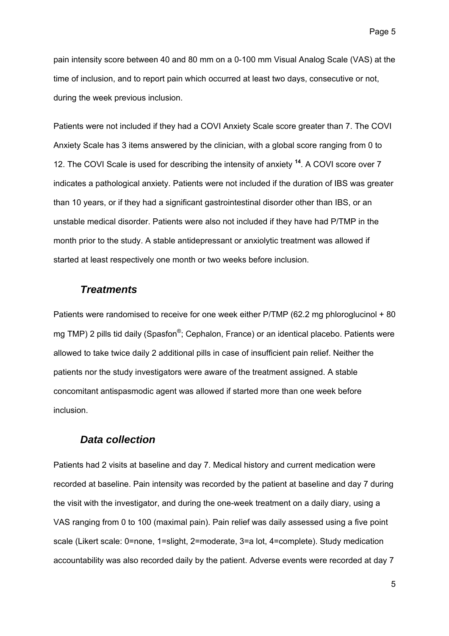pain intensity score between 40 and 80 mm on a 0-100 mm Visual Analog Scale (VAS) at the time of inclusion, and to report pain which occurred at least two days, consecutive or not, during the week previous inclusion.

Patients were not included if they had a COVI Anxiety Scale score greater than 7. The COVI Anxiety Scale has 3 items answered by the clinician, with a global score ranging from 0 to 12. The COVI Scale is used for describing the intensity of anxiety **<sup>14</sup>**. A COVI score over 7 indicates a pathological anxiety. Patients were not included if the duration of IBS was greater than 10 years, or if they had a significant gastrointestinal disorder other than IBS, or an unstable medical disorder. Patients were also not included if they have had P/TMP in the month prior to the study. A stable antidepressant or anxiolytic treatment was allowed if started at least respectively one month or two weeks before inclusion.

#### *Treatments*

Patients were randomised to receive for one week either P/TMP (62.2 mg phloroglucinol + 80 mg TMP) 2 pills tid daily (Spasfon<sup>®</sup>; Cephalon, France) or an identical placebo. Patients were allowed to take twice daily 2 additional pills in case of insufficient pain relief. Neither the patients nor the study investigators were aware of the treatment assigned. A stable concomitant antispasmodic agent was allowed if started more than one week before inclusion.

#### *Data collection*

Patients had 2 visits at baseline and day 7. Medical history and current medication were recorded at baseline. Pain intensity was recorded by the patient at baseline and day 7 during the visit with the investigator, and during the one-week treatment on a daily diary, using a VAS ranging from 0 to 100 (maximal pain). Pain relief was daily assessed using a five point scale (Likert scale: 0=none, 1=slight, 2=moderate, 3=a lot, 4=complete). Study medication accountability was also recorded daily by the patient. Adverse events were recorded at day 7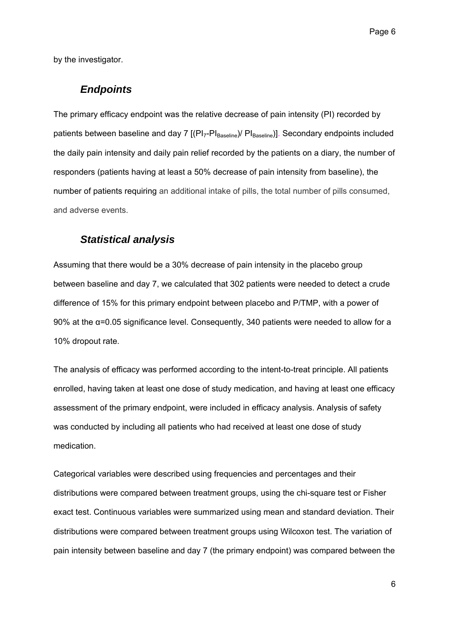by the investigator.

#### *Endpoints*

The primary efficacy endpoint was the relative decrease of pain intensity (PI) recorded by patients between baseline and day 7 [(PI<sub>7</sub>-PI<sub>Baseline</sub>)/ PI<sub>Baseline</sub>)]. Secondary endpoints included the daily pain intensity and daily pain relief recorded by the patients on a diary, the number of responders (patients having at least a 50% decrease of pain intensity from baseline), the number of patients requiring an additional intake of pills, the total number of pills consumed, and adverse events.

#### *Statistical analysis*

Assuming that there would be a 30% decrease of pain intensity in the placebo group between baseline and day 7, we calculated that 302 patients were needed to detect a crude difference of 15% for this primary endpoint between placebo and P/TMP, with a power of 90% at the  $\alpha$ =0.05 significance level. Consequently, 340 patients were needed to allow for a 10% dropout rate.

The analysis of efficacy was performed according to the intent-to-treat principle. All patients enrolled, having taken at least one dose of study medication, and having at least one efficacy assessment of the primary endpoint, were included in efficacy analysis. Analysis of safety was conducted by including all patients who had received at least one dose of study medication.

Categorical variables were described using frequencies and percentages and their distributions were compared between treatment groups, using the chi-square test or Fisher exact test. Continuous variables were summarized using mean and standard deviation. Their distributions were compared between treatment groups using Wilcoxon test. The variation of pain intensity between baseline and day 7 (the primary endpoint) was compared between the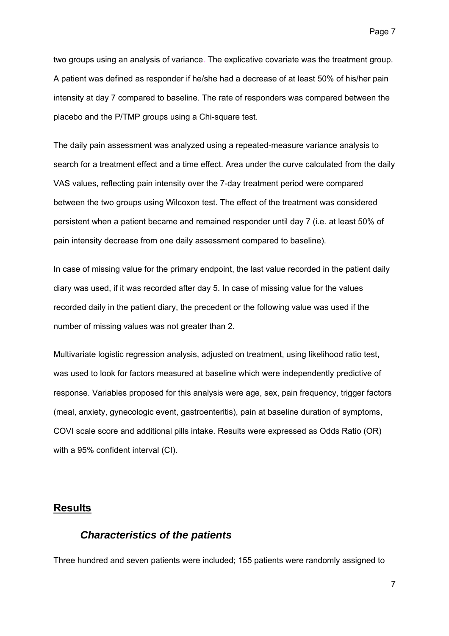two groups using an analysis of variance. The explicative covariate was the treatment group. A patient was defined as responder if he/she had a decrease of at least 50% of his/her pain intensity at day 7 compared to baseline. The rate of responders was compared between the placebo and the P/TMP groups using a Chi-square test.

The daily pain assessment was analyzed using a repeated-measure variance analysis to search for a treatment effect and a time effect. Area under the curve calculated from the daily VAS values, reflecting pain intensity over the 7-day treatment period were compared between the two groups using Wilcoxon test. The effect of the treatment was considered persistent when a patient became and remained responder until day 7 (i.e. at least 50% of pain intensity decrease from one daily assessment compared to baseline).

In case of missing value for the primary endpoint, the last value recorded in the patient daily diary was used, if it was recorded after day 5. In case of missing value for the values recorded daily in the patient diary, the precedent or the following value was used if the number of missing values was not greater than 2.

Multivariate logistic regression analysis, adjusted on treatment, using likelihood ratio test, was used to look for factors measured at baseline which were independently predictive of response. Variables proposed for this analysis were age, sex, pain frequency, trigger factors (meal, anxiety, gynecologic event, gastroenteritis), pain at baseline duration of symptoms, COVI scale score and additional pills intake. Results were expressed as Odds Ratio (OR) with a 95% confident interval (CI).

### **Results**

#### *Characteristics of the patients*

Three hundred and seven patients were included; 155 patients were randomly assigned to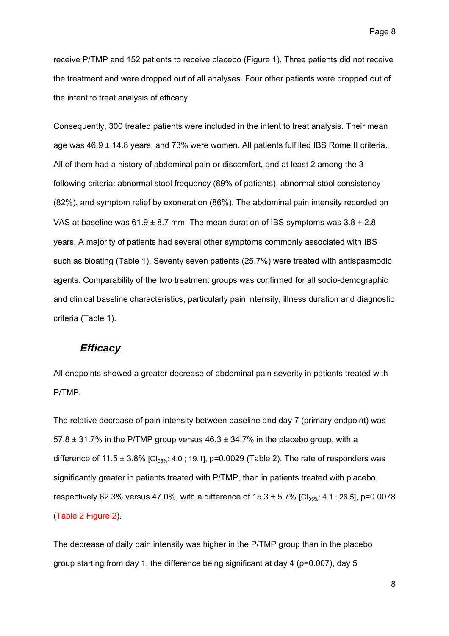receive P/TMP and 152 patients to receive placebo (Figure 1). Three patients did not receive the treatment and were dropped out of all analyses. Four other patients were dropped out of the intent to treat analysis of efficacy.

Consequently, 300 treated patients were included in the intent to treat analysis. Their mean age was 46.9 ± 14.8 years, and 73% were women. All patients fulfilled IBS Rome II criteria. All of them had a history of abdominal pain or discomfort, and at least 2 among the 3 following criteria: abnormal stool frequency (89% of patients), abnormal stool consistency (82%), and symptom relief by exoneration (86%). The abdominal pain intensity recorded on VAS at baseline was  $61.9 \pm 8.7$  mm. The mean duration of IBS symptoms was  $3.8 \pm 2.8$ years. A majority of patients had several other symptoms commonly associated with IBS such as bloating (Table 1). Seventy seven patients (25.7%) were treated with antispasmodic agents. Comparability of the two treatment groups was confirmed for all socio-demographic and clinical baseline characteristics, particularly pain intensity, illness duration and diagnostic criteria (Table 1).

### *Efficacy*

All endpoints showed a greater decrease of abdominal pain severity in patients treated with P/TMP.

The relative decrease of pain intensity between baseline and day 7 (primary endpoint) was 57.8  $\pm$  31.7% in the P/TMP group versus 46.3  $\pm$  34.7% in the placebo group, with a difference of 11.5  $\pm$  3.8% [CI<sub>95%</sub>: 4.0; 19.1], p=0.0029 (Table 2). The rate of responders was significantly greater in patients treated with P/TMP, than in patients treated with placebo, respectively 62.3% versus 47.0%, with a difference of  $15.3 \pm 5.7\%$  [Cl<sub>95%</sub>: 4.1; 26.5], p=0.0078 (Table 2 Figure 2).

The decrease of daily pain intensity was higher in the P/TMP group than in the placebo group starting from day 1, the difference being significant at day 4 (p=0.007), day 5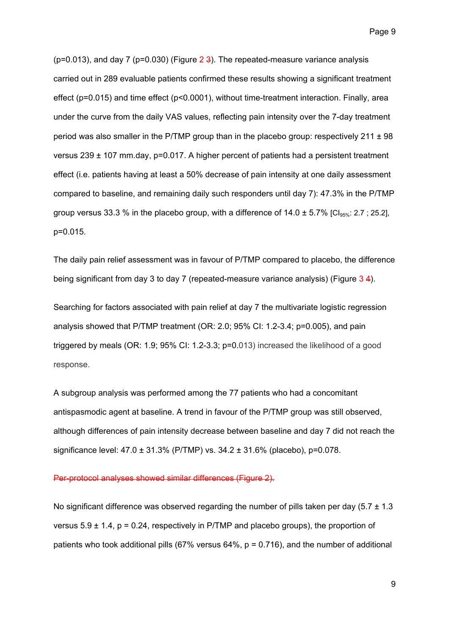( $p=0.013$ ), and day 7 ( $p=0.030$ ) (Figure  $2\frac{3}{2}$ ). The repeated-measure variance analysis carried out in 289 evaluable patients confirmed these results showing a significant treatment effect (p=0.015) and time effect (p<0.0001), without time-treatment interaction. Finally, area under the curve from the daily VAS values, reflecting pain intensity over the 7-day treatment period was also smaller in the P/TMP group than in the placebo group: respectively  $211 \pm 98$ versus 239 ± 107 mm.day, p=0.017. A higher percent of patients had a persistent treatment effect (i.e. patients having at least a 50% decrease of pain intensity at one daily assessment compared to baseline, and remaining daily such responders until day 7): 47.3% in the P/TMP group versus 33.3 % in the placebo group, with a difference of  $14.0 \pm 5.7\%$  [Cl<sub>95%</sub>: 2.7; 25.2], p=0.015.

The daily pain relief assessment was in favour of P/TMP compared to placebo, the difference being significant from day 3 to day 7 (repeated-measure variance analysis) (Figure 3 4).

Searching for factors associated with pain relief at day 7 the multivariate logistic regression analysis showed that P/TMP treatment (OR: 2.0; 95% CI: 1.2-3.4; p=0.005), and pain triggered by meals (OR: 1.9; 95% CI: 1.2-3.3; p=0.013) increased the likelihood of a good response.

A subgroup analysis was performed among the 77 patients who had a concomitant antispasmodic agent at baseline. A trend in favour of the P/TMP group was still observed, although differences of pain intensity decrease between baseline and day 7 did not reach the significance level: 47.0 ± 31.3% (P/TMP) vs. 34.2 ± 31.6% (placebo), p=0.078.

#### Per-protocol analyses showed similar differences (Figure 2).

No significant difference was observed regarding the number of pills taken per day (5.7  $\pm$  1.3 versus  $5.9 \pm 1.4$ ,  $p = 0.24$ , respectively in P/TMP and placebo groups), the proportion of patients who took additional pills (67% versus 64%,  $p = 0.716$ ), and the number of additional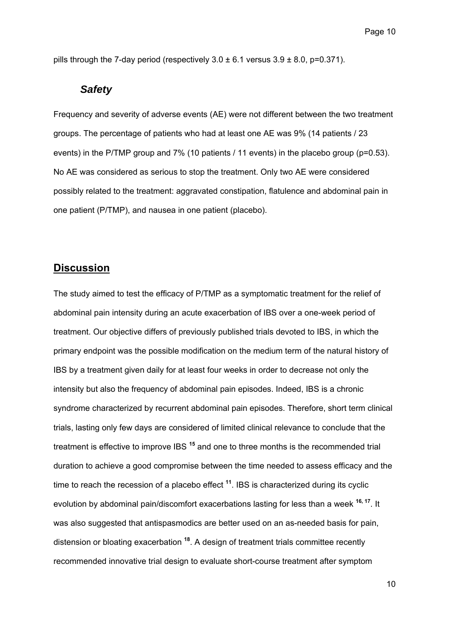pills through the 7-day period (respectively  $3.0 \pm 6.1$  versus  $3.9 \pm 8.0$ , p=0.371).

#### *Safety*

Frequency and severity of adverse events (AE) were not different between the two treatment groups. The percentage of patients who had at least one AE was 9% (14 patients / 23 events) in the P/TMP group and 7% (10 patients / 11 events) in the placebo group (p=0.53). No AE was considered as serious to stop the treatment. Only two AE were considered possibly related to the treatment: aggravated constipation, flatulence and abdominal pain in one patient (P/TMP), and nausea in one patient (placebo).

## **Discussion**

The study aimed to test the efficacy of P/TMP as a symptomatic treatment for the relief of abdominal pain intensity during an acute exacerbation of IBS over a one-week period of treatment. Our objective differs of previously published trials devoted to IBS, in which the primary endpoint was the possible modification on the medium term of the natural history of IBS by a treatment given daily for at least four weeks in order to decrease not only the intensity but also the frequency of abdominal pain episodes. Indeed, IBS is a chronic syndrome characterized by recurrent abdominal pain episodes. Therefore, short term clinical trials, lasting only few days are considered of limited clinical relevance to conclude that the treatment is effective to improve IBS **<sup>15</sup>** and one to three months is the recommended trial duration to achieve a good compromise between the time needed to assess efficacy and the time to reach the recession of a placebo effect **<sup>11</sup>**. IBS is characterized during its cyclic evolution by abdominal pain/discomfort exacerbations lasting for less than a week **16, 17**. It was also suggested that antispasmodics are better used on an as-needed basis for pain, distension or bloating exacerbation **<sup>18</sup>**. A design of treatment trials committee recently recommended innovative trial design to evaluate short-course treatment after symptom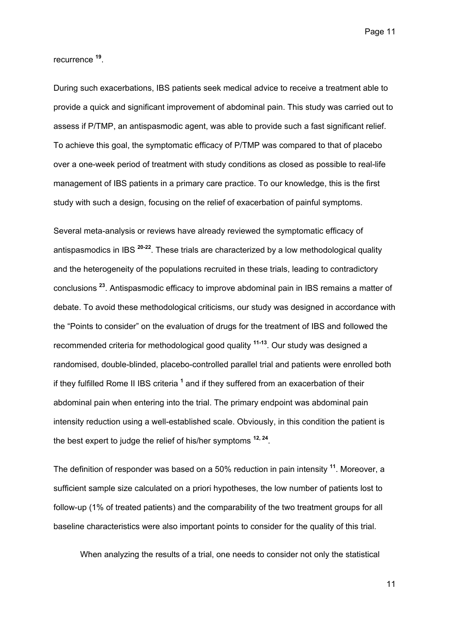recurrence **<sup>19</sup>**.

During such exacerbations, IBS patients seek medical advice to receive a treatment able to provide a quick and significant improvement of abdominal pain. This study was carried out to assess if P/TMP, an antispasmodic agent, was able to provide such a fast significant relief. To achieve this goal, the symptomatic efficacy of P/TMP was compared to that of placebo over a one-week period of treatment with study conditions as closed as possible to real-life management of IBS patients in a primary care practice. To our knowledge, this is the first study with such a design, focusing on the relief of exacerbation of painful symptoms.

Several meta-analysis or reviews have already reviewed the symptomatic efficacy of antispasmodics in IBS **20-22**. These trials are characterized by a low methodological quality and the heterogeneity of the populations recruited in these trials, leading to contradictory conclusions **<sup>23</sup>**. Antispasmodic efficacy to improve abdominal pain in IBS remains a matter of debate. To avoid these methodological criticisms, our study was designed in accordance with the "Points to consider" on the evaluation of drugs for the treatment of IBS and followed the recommended criteria for methodological good quality **11-13**. Our study was designed a randomised, double-blinded, placebo-controlled parallel trial and patients were enrolled both if they fulfilled Rome II IBS criteria <sup>1</sup> and if they suffered from an exacerbation of their abdominal pain when entering into the trial. The primary endpoint was abdominal pain intensity reduction using a well-established scale. Obviously, in this condition the patient is the best expert to judge the relief of his/her symptoms **12, 24**.

The definition of responder was based on a 50% reduction in pain intensity **<sup>11</sup>**. Moreover, a sufficient sample size calculated on a priori hypotheses, the low number of patients lost to follow-up (1% of treated patients) and the comparability of the two treatment groups for all baseline characteristics were also important points to consider for the quality of this trial.

When analyzing the results of a trial, one needs to consider not only the statistical

11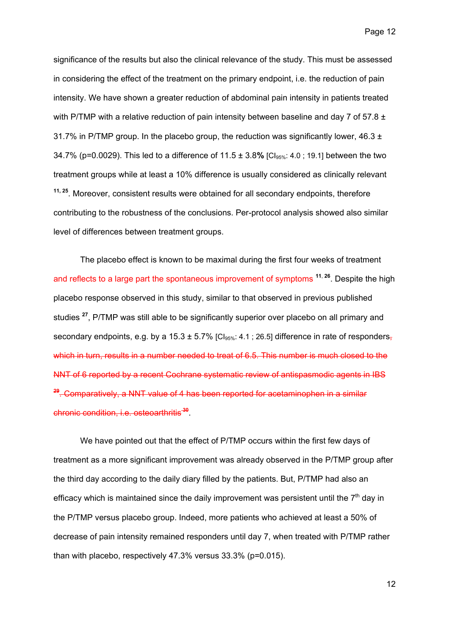significance of the results but also the clinical relevance of the study. This must be assessed in considering the effect of the treatment on the primary endpoint, i.e. the reduction of pain intensity. We have shown a greater reduction of abdominal pain intensity in patients treated with P/TMP with a relative reduction of pain intensity between baseline and day 7 of 57.8  $\pm$ 31.7% in P/TMP group. In the placebo group, the reduction was significantly lower, 46.3  $\pm$ 34.7% (p=0.0029). This led to a difference of 11.5 ± 3.8**%** [CI95%: 4.0 ; 19.1] between the two treatment groups while at least a 10% difference is usually considered as clinically relevant **11, 25**. Moreover, consistent results were obtained for all secondary endpoints, therefore contributing to the robustness of the conclusions. Per-protocol analysis showed also similar level of differences between treatment groups.

The placebo effect is known to be maximal during the first four weeks of treatment and reflects to a large part the spontaneous improvement of symptoms **<sup>11</sup>**, **<sup>26</sup>**. Despite the high placebo response observed in this study, similar to that observed in previous published studies **<sup>27</sup>**, P/TMP was still able to be significantly superior over placebo on all primary and secondary endpoints, e.g. by a 15.3  $\pm$  5.7% [Cl<sub>95%</sub>: 4.1; 26.5] difference in rate of responders, which in turn, results in a number needed to treat of 6.5. This number is much closed to the NNT of 6 reported by a recent Cochrane systematic review of antispasmodic agents in IBS **<sup>29</sup>**. Comparatively, a NNT value of 4 has been reported for acetaminophen in a similar chronic condition, i.e. osteoarthritis**<sup>30</sup>**.

We have pointed out that the effect of P/TMP occurs within the first few days of treatment as a more significant improvement was already observed in the P/TMP group after the third day according to the daily diary filled by the patients. But, P/TMP had also an efficacy which is maintained since the daily improvement was persistent until the  $7<sup>th</sup>$  dav in the P/TMP versus placebo group. Indeed, more patients who achieved at least a 50% of decrease of pain intensity remained responders until day 7, when treated with P/TMP rather than with placebo, respectively 47.3% versus 33.3% (p=0.015).

12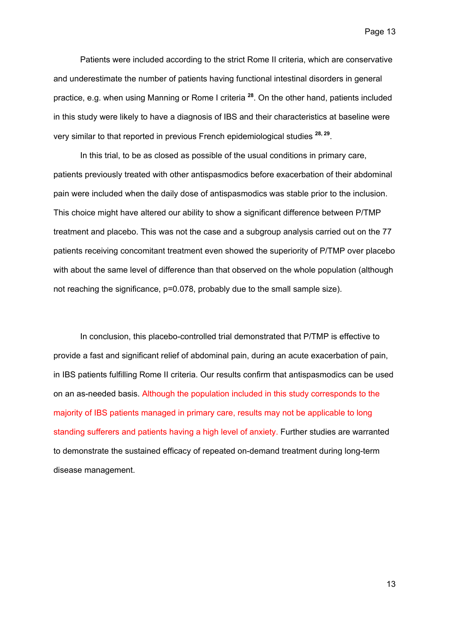Patients were included according to the strict Rome II criteria, which are conservative and underestimate the number of patients having functional intestinal disorders in general practice, e.g. when using Manning or Rome I criteria **<sup>28</sup>**. On the other hand, patients included in this study were likely to have a diagnosis of IBS and their characteristics at baseline were very similar to that reported in previous French epidemiological studies **28, 29**.

In this trial, to be as closed as possible of the usual conditions in primary care, patients previously treated with other antispasmodics before exacerbation of their abdominal pain were included when the daily dose of antispasmodics was stable prior to the inclusion. This choice might have altered our ability to show a significant difference between P/TMP treatment and placebo. This was not the case and a subgroup analysis carried out on the 77 patients receiving concomitant treatment even showed the superiority of P/TMP over placebo with about the same level of difference than that observed on the whole population (although not reaching the significance, p=0.078, probably due to the small sample size).

In conclusion, this placebo-controlled trial demonstrated that P/TMP is effective to provide a fast and significant relief of abdominal pain, during an acute exacerbation of pain, in IBS patients fulfilling Rome II criteria. Our results confirm that antispasmodics can be used on an as-needed basis. Although the population included in this study corresponds to the majority of IBS patients managed in primary care, results may not be applicable to long standing sufferers and patients having a high level of anxiety. Further studies are warranted to demonstrate the sustained efficacy of repeated on-demand treatment during long-term disease management.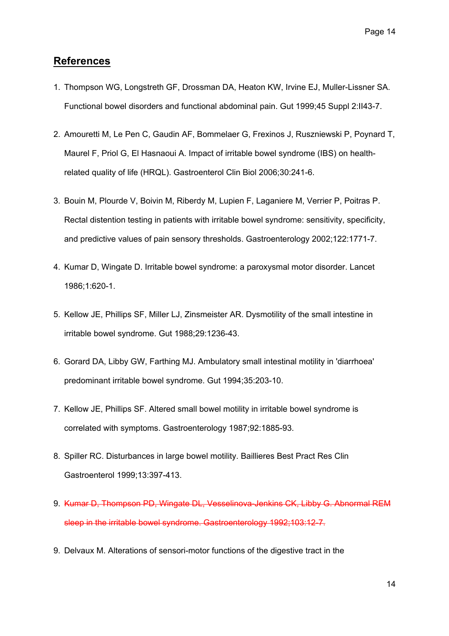## **References**

- 1. Thompson WG, Longstreth GF, Drossman DA, Heaton KW, Irvine EJ, Muller-Lissner SA. Functional bowel disorders and functional abdominal pain. Gut 1999;45 Suppl 2:II43-7.
- 2. Amouretti M, Le Pen C, Gaudin AF, Bommelaer G, Frexinos J, Ruszniewski P, Poynard T, Maurel F, Priol G, El Hasnaoui A. Impact of irritable bowel syndrome (IBS) on healthrelated quality of life (HRQL). Gastroenterol Clin Biol 2006;30:241-6.
- 3. Bouin M, Plourde V, Boivin M, Riberdy M, Lupien F, Laganiere M, Verrier P, Poitras P. Rectal distention testing in patients with irritable bowel syndrome: sensitivity, specificity, and predictive values of pain sensory thresholds. Gastroenterology 2002;122:1771-7.
- 4. Kumar D, Wingate D. Irritable bowel syndrome: a paroxysmal motor disorder. Lancet 1986;1:620-1.
- 5. Kellow JE, Phillips SF, Miller LJ, Zinsmeister AR. Dysmotility of the small intestine in irritable bowel syndrome. Gut 1988;29:1236-43.
- 6. Gorard DA, Libby GW, Farthing MJ. Ambulatory small intestinal motility in 'diarrhoea' predominant irritable bowel syndrome. Gut 1994;35:203-10.
- 7. Kellow JE, Phillips SF. Altered small bowel motility in irritable bowel syndrome is correlated with symptoms. Gastroenterology 1987;92:1885-93.
- 8. Spiller RC. Disturbances in large bowel motility. Baillieres Best Pract Res Clin Gastroenterol 1999;13:397-413.
- 9. Kumar D, Thompson PD, Wingate DL, Vesselinova-Jenkins CK, Libby G. Abnormal REM sleep in the irritable bowel syndrome. Gastroenterology 1992;103:12-7.
- 9. Delvaux M. Alterations of sensori-motor functions of the digestive tract in the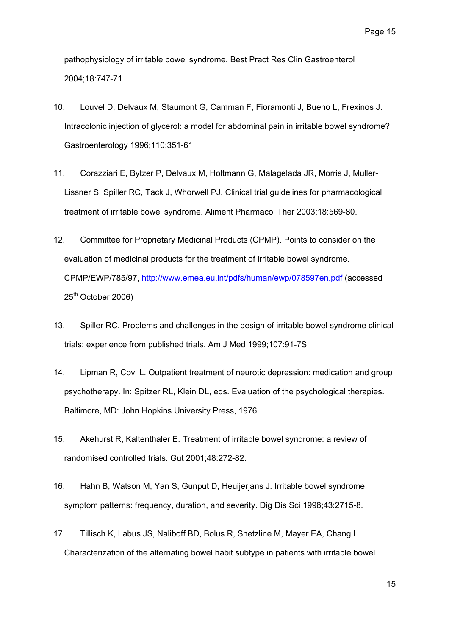pathophysiology of irritable bowel syndrome. Best Pract Res Clin Gastroenterol 2004;18:747-71.

- 10. Louvel D, Delvaux M, Staumont G, Camman F, Fioramonti J, Bueno L, Frexinos J. Intracolonic injection of glycerol: a model for abdominal pain in irritable bowel syndrome? Gastroenterology 1996;110:351-61.
- 11. Corazziari E, Bytzer P, Delvaux M, Holtmann G, Malagelada JR, Morris J, Muller-Lissner S, Spiller RC, Tack J, Whorwell PJ. Clinical trial guidelines for pharmacological treatment of irritable bowel syndrome. Aliment Pharmacol Ther 2003;18:569-80.
- 12. Committee for Proprietary Medicinal Products (CPMP). Points to consider on the evaluation of medicinal products for the treatment of irritable bowel syndrome. CPMP/EWP/785/97, <http://www.emea.eu.int/pdfs/human/ewp/078597en.pdf>(accessed 25<sup>th</sup> October 2006)
- 13. Spiller RC. Problems and challenges in the design of irritable bowel syndrome clinical trials: experience from published trials. Am J Med 1999;107:91-7S.
- 14. Lipman R, Covi L. Outpatient treatment of neurotic depression: medication and group psychotherapy. In: Spitzer RL, Klein DL, eds. Evaluation of the psychological therapies. Baltimore, MD: John Hopkins University Press, 1976.
- 15. Akehurst R, Kaltenthaler E. Treatment of irritable bowel syndrome: a review of randomised controlled trials. Gut 2001;48:272-82.
- 16. Hahn B, Watson M, Yan S, Gunput D, Heuijerjans J. Irritable bowel syndrome symptom patterns: frequency, duration, and severity. Dig Dis Sci 1998;43:2715-8.
- 17. [Tillisch K](http://www.ncbi.nlm.nih.gov/entrez/query.fcgi?db=pubmed&cmd=Search&itool=pubmed_Abstract&term=%22Tillisch+K%22%5BAuthor%5D), [Labus JS](http://www.ncbi.nlm.nih.gov/entrez/query.fcgi?db=pubmed&cmd=Search&itool=pubmed_Abstract&term=%22Labus+JS%22%5BAuthor%5D), [Naliboff BD](http://www.ncbi.nlm.nih.gov/entrez/query.fcgi?db=pubmed&cmd=Search&itool=pubmed_Abstract&term=%22Naliboff+BD%22%5BAuthor%5D), [Bolus R,](http://www.ncbi.nlm.nih.gov/entrez/query.fcgi?db=pubmed&cmd=Search&itool=pubmed_Abstract&term=%22Bolus+R%22%5BAuthor%5D) [Shetzline M](http://www.ncbi.nlm.nih.gov/entrez/query.fcgi?db=pubmed&cmd=Search&itool=pubmed_Abstract&term=%22Shetzline+M%22%5BAuthor%5D), [Mayer EA,](http://www.ncbi.nlm.nih.gov/entrez/query.fcgi?db=pubmed&cmd=Search&itool=pubmed_Abstract&term=%22Mayer+EA%22%5BAuthor%5D) [Chang L](http://www.ncbi.nlm.nih.gov/entrez/query.fcgi?db=pubmed&cmd=Search&itool=pubmed_Abstract&term=%22Chang+L%22%5BAuthor%5D). Characterization of the alternating bowel habit subtype in patients with irritable bowel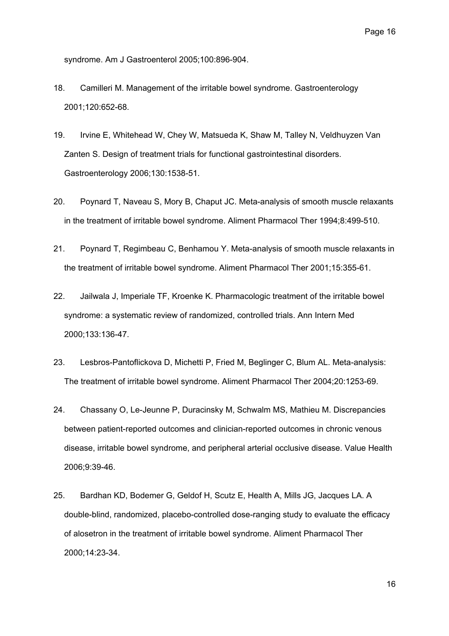syndrome. Am J Gastroenterol 2005;100:896-904.

- 18. Camilleri M. Management of the irritable bowel syndrome. Gastroenterology 2001;120:652-68.
- 19. Irvine E, Whitehead W, Chey W, Matsueda K, Shaw M, Talley N, Veldhuyzen Van Zanten S. Design of treatment trials for functional gastrointestinal disorders. Gastroenterology 2006;130:1538-51.
- 20. Poynard T, Naveau S, Mory B, Chaput JC. Meta-analysis of smooth muscle relaxants in the treatment of irritable bowel syndrome. Aliment Pharmacol Ther 1994;8:499-510.
- 21. Poynard T, Regimbeau C, Benhamou Y. Meta-analysis of smooth muscle relaxants in the treatment of irritable bowel syndrome. Aliment Pharmacol Ther 2001;15:355-61.
- 22. Jailwala J, Imperiale TF, Kroenke K. Pharmacologic treatment of the irritable bowel syndrome: a systematic review of randomized, controlled trials. Ann Intern Med 2000;133:136-47.
- 23. Lesbros-Pantoflickova D, Michetti P, Fried M, Beglinger C, Blum AL. Meta-analysis: The treatment of irritable bowel syndrome. Aliment Pharmacol Ther 2004;20:1253-69.
- 24. [Chassany O,](http://www.ncbi.nlm.nih.gov/entrez/query.fcgi?db=pubmed&cmd=Search&itool=pubmed_Abstract&term=%22Chassany+O%22%5BAuthor%5D) [Le-Jeunne P](http://www.ncbi.nlm.nih.gov/entrez/query.fcgi?db=pubmed&cmd=Search&itool=pubmed_Abstract&term=%22Le%2DJeunne+P%22%5BAuthor%5D), [Duracinsky M](http://www.ncbi.nlm.nih.gov/entrez/query.fcgi?db=pubmed&cmd=Search&itool=pubmed_Abstract&term=%22Duracinsky+M%22%5BAuthor%5D), [Schwalm MS](http://www.ncbi.nlm.nih.gov/entrez/query.fcgi?db=pubmed&cmd=Search&itool=pubmed_Abstract&term=%22Schwalm+MS%22%5BAuthor%5D), [Mathieu M.](http://www.ncbi.nlm.nih.gov/entrez/query.fcgi?db=pubmed&cmd=Search&itool=pubmed_Abstract&term=%22Mathieu+M%22%5BAuthor%5D) Discrepancies between patient-reported outcomes and clinician-reported outcomes in chronic venous disease, irritable bowel syndrome, and peripheral arterial occlusive disease. Value Health 2006;9:39-46.
- 25. Bardhan KD, Bodemer G, Geldof H, Scutz E, Health A, Mills JG, Jacques LA. A double-blind, randomized, placebo-controlled dose-ranging study to evaluate the efficacy of alosetron in the treatment of irritable bowel syndrome. Aliment Pharmacol Ther 2000;14:23-34.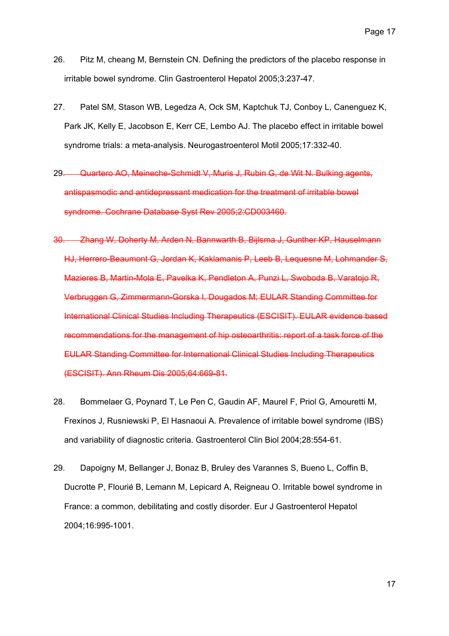- 26. Pitz M, cheang M, Bernstein CN. Defining the predictors of the placebo response in irritable bowel syndrome. Clin Gastroenterol Hepatol 2005;3:237-47.
- 27. [Patel SM,](http://www.ncbi.nlm.nih.gov/entrez/query.fcgi?db=pubmed&cmd=Search&itool=pubmed_Abstract&term=%22Patel+SM%22%5BAuthor%5D) [Stason WB](http://www.ncbi.nlm.nih.gov/entrez/query.fcgi?db=pubmed&cmd=Search&itool=pubmed_Abstract&term=%22Stason+WB%22%5BAuthor%5D), [Legedza A,](http://www.ncbi.nlm.nih.gov/entrez/query.fcgi?db=pubmed&cmd=Search&itool=pubmed_Abstract&term=%22Legedza+A%22%5BAuthor%5D) [Ock SM](http://www.ncbi.nlm.nih.gov/entrez/query.fcgi?db=pubmed&cmd=Search&itool=pubmed_Abstract&term=%22Ock+SM%22%5BAuthor%5D), [Kaptchuk TJ](http://www.ncbi.nlm.nih.gov/entrez/query.fcgi?db=pubmed&cmd=Search&itool=pubmed_Abstract&term=%22Kaptchuk+TJ%22%5BAuthor%5D), [Conboy L](http://www.ncbi.nlm.nih.gov/entrez/query.fcgi?db=pubmed&cmd=Search&itool=pubmed_Abstract&term=%22Conboy+L%22%5BAuthor%5D), [Canenguez K](http://www.ncbi.nlm.nih.gov/entrez/query.fcgi?db=pubmed&cmd=Search&itool=pubmed_Abstract&term=%22Canenguez+K%22%5BAuthor%5D), [Park JK,](http://www.ncbi.nlm.nih.gov/entrez/query.fcgi?db=pubmed&cmd=Search&itool=pubmed_Abstract&term=%22Park+JK%22%5BAuthor%5D) [Kelly E,](http://www.ncbi.nlm.nih.gov/entrez/query.fcgi?db=pubmed&cmd=Search&itool=pubmed_Abstract&term=%22Kelly+E%22%5BAuthor%5D) [Jacobson E,](http://www.ncbi.nlm.nih.gov/entrez/query.fcgi?db=pubmed&cmd=Search&itool=pubmed_Abstract&term=%22Jacobson+E%22%5BAuthor%5D) [Kerr CE,](http://www.ncbi.nlm.nih.gov/entrez/query.fcgi?db=pubmed&cmd=Search&itool=pubmed_Abstract&term=%22Kerr+CE%22%5BAuthor%5D) [Lembo AJ](http://www.ncbi.nlm.nih.gov/entrez/query.fcgi?db=pubmed&cmd=Search&itool=pubmed_Abstract&term=%22Lembo+AJ%22%5BAuthor%5D). The placebo effect in irritable bowel syndrome trials: a meta-analysis. Neurogastroenterol Motil 2005;17:332-40.
- 29. [Quartero AO,](http://www.ncbi.nlm.nih.gov/entrez/query.fcgi?db=pubmed&cmd=Search&itool=pubmed_Abstract&term=%22Quartero+AO%22%5BAuthor%5D) [Meineche-Schmidt V](http://www.ncbi.nlm.nih.gov/entrez/query.fcgi?db=pubmed&cmd=Search&itool=pubmed_Abstract&term=%22Meineche%2DSchmidt+V%22%5BAuthor%5D), [Muris J,](http://www.ncbi.nlm.nih.gov/entrez/query.fcgi?db=pubmed&cmd=Search&itool=pubmed_Abstract&term=%22Muris+J%22%5BAuthor%5D) [Rubin G](http://www.ncbi.nlm.nih.gov/entrez/query.fcgi?db=pubmed&cmd=Search&itool=pubmed_Abstract&term=%22Rubin+G%22%5BAuthor%5D), [de Wit N.](http://www.ncbi.nlm.nih.gov/entrez/query.fcgi?db=pubmed&cmd=Search&itool=pubmed_Abstract&term=%22de+Wit+N%22%5BAuthor%5D) Bulking agents, antispasmodic and antidepressant medication for the treatment of irritable bowel syndrome. Cochrane Database Syst Rev 2005;2:CD003460.
- 30. [Zhang W,](http://www.ncbi.nlm.nih.gov/entrez/query.fcgi?db=pubmed&cmd=Search&itool=pubmed_Abstract&term=%22Zhang+W%22%5BAuthor%5D) [Doherty M,](http://www.ncbi.nlm.nih.gov/entrez/query.fcgi?db=pubmed&cmd=Search&itool=pubmed_Abstract&term=%22Doherty+M%22%5BAuthor%5D) [Arden N](http://www.ncbi.nlm.nih.gov/entrez/query.fcgi?db=pubmed&cmd=Search&itool=pubmed_Abstract&term=%22Arden+N%22%5BAuthor%5D), [Bannwarth B](http://www.ncbi.nlm.nih.gov/entrez/query.fcgi?db=pubmed&cmd=Search&itool=pubmed_Abstract&term=%22Bannwarth+B%22%5BAuthor%5D), [Bijlsma J](http://www.ncbi.nlm.nih.gov/entrez/query.fcgi?db=pubmed&cmd=Search&itool=pubmed_Abstract&term=%22Bijlsma+J%22%5BAuthor%5D), [Gunther KP,](http://www.ncbi.nlm.nih.gov/entrez/query.fcgi?db=pubmed&cmd=Search&itool=pubmed_Abstract&term=%22Gunther+KP%22%5BAuthor%5D) [Hauselmann](http://www.ncbi.nlm.nih.gov/entrez/query.fcgi?db=pubmed&cmd=Search&itool=pubmed_Abstract&term=%22Hauselmann+HJ%22%5BAuthor%5D)  [HJ](http://www.ncbi.nlm.nih.gov/entrez/query.fcgi?db=pubmed&cmd=Search&itool=pubmed_Abstract&term=%22Hauselmann+HJ%22%5BAuthor%5D), [Herrero-Beaumont G](http://www.ncbi.nlm.nih.gov/entrez/query.fcgi?db=pubmed&cmd=Search&itool=pubmed_Abstract&term=%22Herrero%2DBeaumont+G%22%5BAuthor%5D), [Jordan K](http://www.ncbi.nlm.nih.gov/entrez/query.fcgi?db=pubmed&cmd=Search&itool=pubmed_Abstract&term=%22Jordan+K%22%5BAuthor%5D), [Kaklamanis P,](http://www.ncbi.nlm.nih.gov/entrez/query.fcgi?db=pubmed&cmd=Search&itool=pubmed_Abstract&term=%22Kaklamanis+P%22%5BAuthor%5D) [Leeb B,](http://www.ncbi.nlm.nih.gov/entrez/query.fcgi?db=pubmed&cmd=Search&itool=pubmed_Abstract&term=%22Leeb+B%22%5BAuthor%5D) [Lequesne M](http://www.ncbi.nlm.nih.gov/entrez/query.fcgi?db=pubmed&cmd=Search&itool=pubmed_Abstract&term=%22Lequesne+M%22%5BAuthor%5D), [Lohmander S,](http://www.ncbi.nlm.nih.gov/entrez/query.fcgi?db=pubmed&cmd=Search&itool=pubmed_Abstract&term=%22Lohmander+S%22%5BAuthor%5D) [Mazieres B](http://www.ncbi.nlm.nih.gov/entrez/query.fcgi?db=pubmed&cmd=Search&itool=pubmed_Abstract&term=%22Mazieres+B%22%5BAuthor%5D), [Martin-Mola E,](http://www.ncbi.nlm.nih.gov/entrez/query.fcgi?db=pubmed&cmd=Search&itool=pubmed_Abstract&term=%22Martin%2DMola+E%22%5BAuthor%5D) [Pavelka K](http://www.ncbi.nlm.nih.gov/entrez/query.fcgi?db=pubmed&cmd=Search&itool=pubmed_Abstract&term=%22Pavelka+K%22%5BAuthor%5D), [Pendleton A](http://www.ncbi.nlm.nih.gov/entrez/query.fcgi?db=pubmed&cmd=Search&itool=pubmed_Abstract&term=%22Pendleton+A%22%5BAuthor%5D), [Punzi L](http://www.ncbi.nlm.nih.gov/entrez/query.fcgi?db=pubmed&cmd=Search&itool=pubmed_Abstract&term=%22Punzi+L%22%5BAuthor%5D), [Swoboda B,](http://www.ncbi.nlm.nih.gov/entrez/query.fcgi?db=pubmed&cmd=Search&itool=pubmed_Abstract&term=%22Swoboda+B%22%5BAuthor%5D) [Varatojo R,](http://www.ncbi.nlm.nih.gov/entrez/query.fcgi?db=pubmed&cmd=Search&itool=pubmed_Abstract&term=%22Varatojo+R%22%5BAuthor%5D) [Verbruggen G](http://www.ncbi.nlm.nih.gov/entrez/query.fcgi?db=pubmed&cmd=Search&itool=pubmed_Abstract&term=%22Verbruggen+G%22%5BAuthor%5D), [Zimmermann-Gorska I](http://www.ncbi.nlm.nih.gov/entrez/query.fcgi?db=pubmed&cmd=Search&itool=pubmed_Abstract&term=%22Zimmermann%2DGorska+I%22%5BAuthor%5D), [Dougados M;](http://www.ncbi.nlm.nih.gov/entrez/query.fcgi?db=pubmed&cmd=Search&itool=pubmed_Abstract&term=%22Dougados+M%22%5BAuthor%5D) [EULAR Standing Committee for](http://www.ncbi.nlm.nih.gov/entrez/query.fcgi?db=pubmed&cmd=Search&itool=pubmed_Abstract&term=%22EULAR+Standing+Committee+for+International+Clinical+Studies+Including+Therapeutics+%28ESCISIT%29%22%5BCorporate+Author%5D)  [International Clinical Studies Including Therapeutics \(ESCISIT\).](http://www.ncbi.nlm.nih.gov/entrez/query.fcgi?db=pubmed&cmd=Search&itool=pubmed_Abstract&term=%22EULAR+Standing+Committee+for+International+Clinical+Studies+Including+Therapeutics+%28ESCISIT%29%22%5BCorporate+Author%5D) EULAR evidence based recommendations for the management of hip osteoarthritis: report of a task force of the EULAR Standing Committee for International Clinical Studies Including Therapeutics (ESCISIT). Ann Rheum Dis 2005;64:669-81.
- 28. Bommelaer G, Poynard T, Le Pen C, Gaudin AF, Maurel F, Priol G, Amouretti M, Frexinos J, Rusniewski P, El Hasnaoui A. Prevalence of irritable bowel syndrome (IBS) and variability of diagnostic criteria. Gastroenterol Clin Biol 2004;28:554-61.
- 29. Dapoigny M, Bellanger J, Bonaz B, Bruley des Varannes S, Bueno L, Coffin B, Ducrotte P, Flourié B, Lemann M, Lepicard A, Reigneau O. Irritable bowel syndrome in France: a common, debilitating and costly disorder. Eur J Gastroenterol Hepatol 2004;16:995-1001.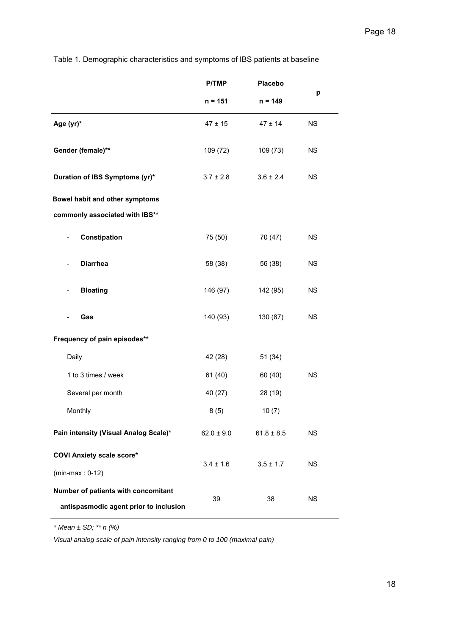|                                                                               | <b>P/TMP</b>   | <b>Placebo</b> |           |  |
|-------------------------------------------------------------------------------|----------------|----------------|-----------|--|
|                                                                               | $n = 151$      | $n = 149$      | р         |  |
| Age (yr)*                                                                     | $47 \pm 15$    | $47 \pm 14$    | <b>NS</b> |  |
| Gender (female)**                                                             | 109 (72)       | 109 (73)       | <b>NS</b> |  |
| Duration of IBS Symptoms (yr)*                                                | $3.7 \pm 2.8$  | $3.6 \pm 2.4$  | <b>NS</b> |  |
| Bowel habit and other symptoms                                                |                |                |           |  |
| commonly associated with IBS**                                                |                |                |           |  |
| Constipation                                                                  | 75 (50)        | 70 (47)        | <b>NS</b> |  |
| <b>Diarrhea</b>                                                               | 58 (38)        | 56 (38)        | <b>NS</b> |  |
| <b>Bloating</b>                                                               | 146 (97)       | 142 (95)       | <b>NS</b> |  |
| Gas                                                                           | 140 (93)       | 130 (87)       | NS        |  |
| Frequency of pain episodes**                                                  |                |                |           |  |
| Daily                                                                         | 42 (28)        | 51(34)         |           |  |
| 1 to 3 times / week                                                           | 61(40)         | 60 (40)        | <b>NS</b> |  |
| Several per month                                                             | 40 (27)        | 28 (19)        |           |  |
| Monthly                                                                       | 8(5)           | 10(7)          |           |  |
| Pain intensity (Visual Analog Scale)*                                         | $62.0 \pm 9.0$ | $61.8 \pm 8.5$ | <b>NS</b> |  |
| <b>COVI Anxiety scale score*</b>                                              |                |                |           |  |
| $(min-max: 0-12)$                                                             | $3.4 \pm 1.6$  | $3.5 \pm 1.7$  | <b>NS</b> |  |
| Number of patients with concomitant<br>antispasmodic agent prior to inclusion | 39             | 38             | <b>NS</b> |  |

Table 1. Demographic characteristics and symptoms of IBS patients at baseline

*\* Mean ± SD; \*\* n (%)* 

*Visual analog scale of pain intensity ranging from 0 to 100 (maximal pain)*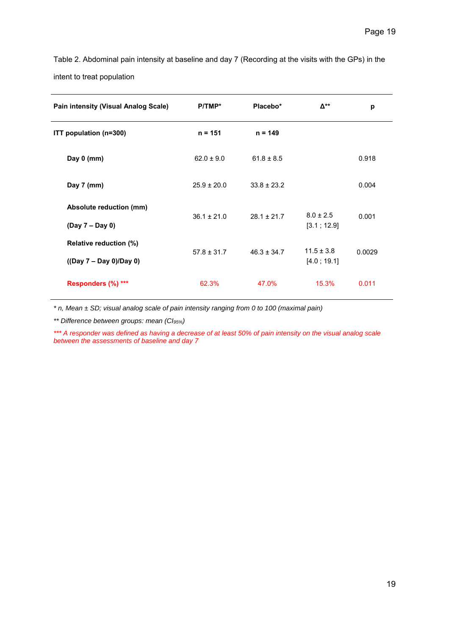Table 2. Abdominal pain intensity at baseline and day 7 (Recording at the visits with the GPs) in the intent to treat population

| <b>Pain intensity (Visual Analog Scale)</b>         | $P/TMP*$        | Placebo*        | Δ**                           | p      |
|-----------------------------------------------------|-----------------|-----------------|-------------------------------|--------|
| ITT population (n=300)                              | $n = 151$       | $n = 149$       |                               |        |
| Day 0 (mm)                                          | $62.0 \pm 9.0$  | $61.8 \pm 8.5$  |                               | 0.918  |
| Day 7 (mm)                                          | $25.9 \pm 20.0$ | $33.8 \pm 23.2$ |                               | 0.004  |
| Absolute reduction (mm)<br>(Day 7 – Day 0)          | $36.1 \pm 21.0$ | $28.1 \pm 21.7$ | $8.0 \pm 2.5$<br>[3.1; 12.9]  | 0.001  |
| Relative reduction (%)<br>$((Day 7 - Day 0)/Day 0)$ | $57.8 \pm 31.7$ | $46.3 \pm 34.7$ | $11.5 \pm 3.8$<br>[4.0; 19.1] | 0.0029 |
| Responders (%) ***                                  | 62.3%           | 47.0%           | 15.3%                         | 0.011  |

*\* n, Mean ± SD; visual analog scale of pain intensity ranging from 0 to 100 (maximal pain)* 

*\*\* Difference between groups: mean (CI95%)* 

*\*\*\* A responder was defined as having a decrease of at least 50% of pain intensity on the visual analog scale between the assessments of baseline and day 7*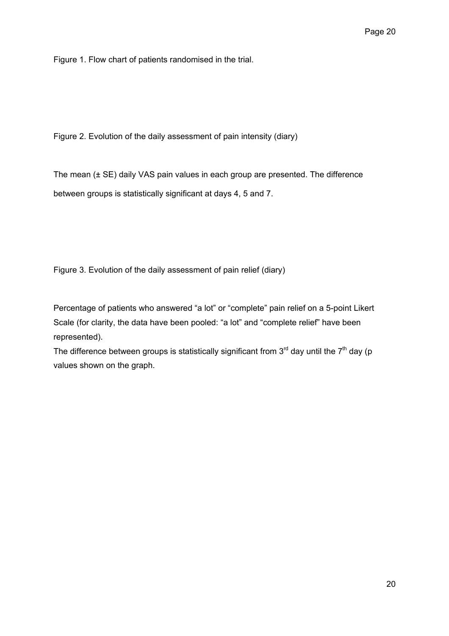Figure 1. Flow chart of patients randomised in the trial.

Figure 2. Evolution of the daily assessment of pain intensity (diary)

The mean (± SE) daily VAS pain values in each group are presented. The difference between groups is statistically significant at days 4, 5 and 7.

Figure 3. Evolution of the daily assessment of pain relief (diary)

Percentage of patients who answered "a lot" or "complete" pain relief on a 5-point Likert Scale (for clarity, the data have been pooled: "a lot" and "complete relief" have been represented).

The difference between groups is statistically significant from  $3<sup>rd</sup>$  day until the  $7<sup>th</sup>$  day (p values shown on the graph.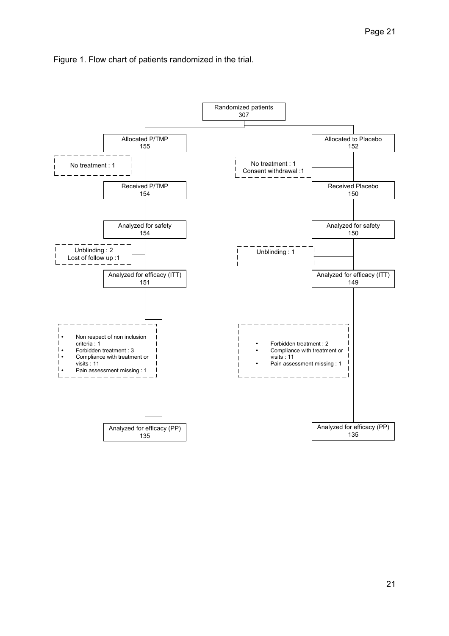

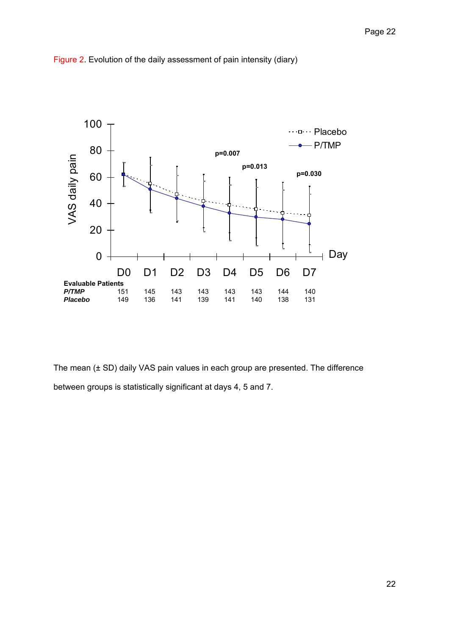

Figure 2. Evolution of the daily assessment of pain intensity (diary)

The mean (± SD) daily VAS pain values in each group are presented. The difference between groups is statistically significant at days 4, 5 and 7.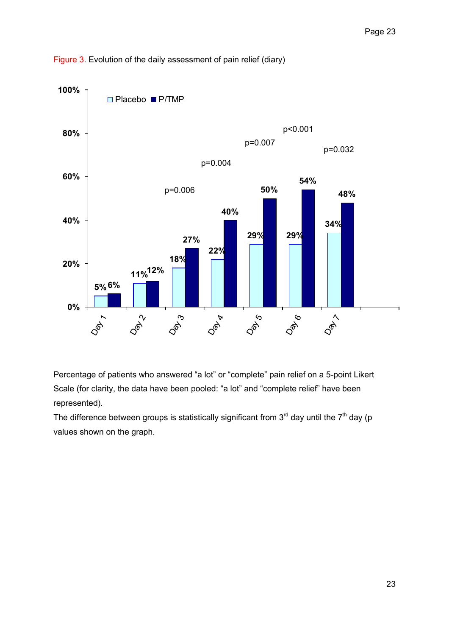

Figure 3. Evolution of the daily assessment of pain relief (diary)

Percentage of patients who answered "a lot" or "complete" pain relief on a 5-point Likert Scale (for clarity, the data have been pooled: "a lot" and "complete relief" have been represented).

The difference between groups is statistically significant from  $3<sup>rd</sup>$  day until the  $7<sup>th</sup>$  day (p values shown on the graph.